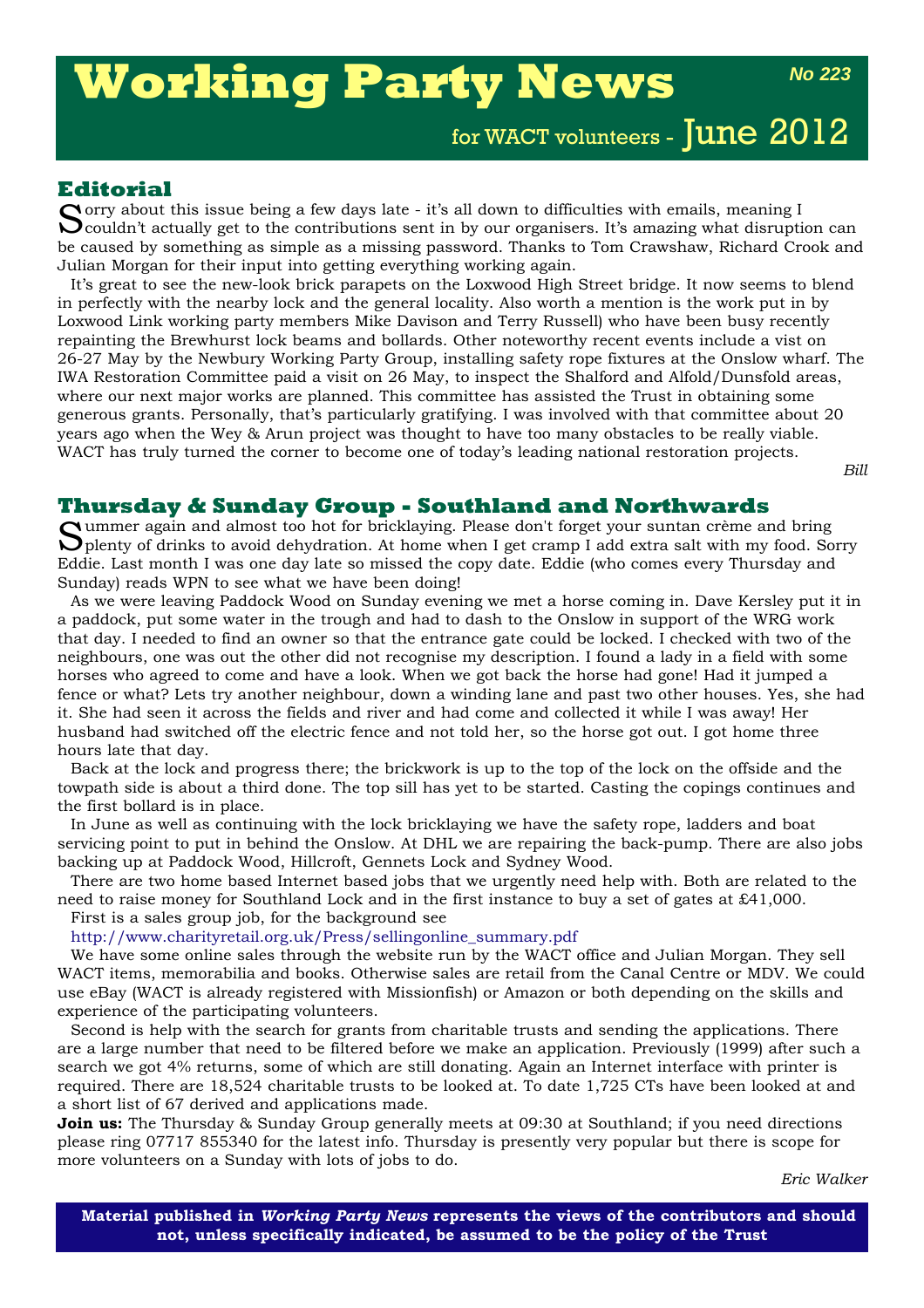# **Working Party News**

*No 223*

for WACT volunteers - June 2012

## **Editorial**

Sorry about this issue being a few days late - it's all down to difficulties with emails, meaning I<br>Couldn't actually get to the contributions sent in by our organisers. It's amazing what disruption can be caused by something as simple as a missing password. Thanks to Tom Crawshaw, Richard Crook and Julian Morgan for their input into getting everything working again.

It's great to see the new-look brick parapets on the Loxwood High Street bridge. It now seems to blend in perfectly with the nearby lock and the general locality. Also worth a mention is the work put in by Loxwood Link working party members Mike Davison and Terry Russell) who have been busy recently repainting the Brewhurst lock beams and bollards. Other noteworthy recent events include a vist on 26-27 May by the Newbury Working Party Group, installing safety rope fixtures at the Onslow wharf. The IWA Restoration Committee paid a visit on 26 May, to inspect the Shalford and Alfold/Dunsfold areas, where our next major works are planned. This committee has assisted the Trust in obtaining some generous grants. Personally, that's particularly gratifying. I was involved with that committee about 20 years ago when the Wey & Arun project was thought to have too many obstacles to be really viable. WACT has truly turned the corner to become one of today's leading national restoration projects.

*Bill*

#### **Thursday & Sunday Group - Southland and Northwards**

Summer again and almost too hot for bricklaying. Please don't forget your suntan crème and bring plenty of drinks to avoid dehydration. At home when I get cramp I add extra salt with my food. Sorry Eddie. Last month I was one day late so missed the copy date. Eddie (who comes every Thursday and Sunday) reads WPN to see what we have been doing!

As we were leaving Paddock Wood on Sunday evening we met a horse coming in. Dave Kersley put it in a paddock, put some water in the trough and had to dash to the Onslow in support of the WRG work that day. I needed to find an owner so that the entrance gate could be locked. I checked with two of the neighbours, one was out the other did not recognise my description. I found a lady in a field with some horses who agreed to come and have a look. When we got back the horse had gone! Had it jumped a fence or what? Lets try another neighbour, down a winding lane and past two other houses. Yes, she had it. She had seen it across the fields and river and had come and collected it while I was away! Her husband had switched off the electric fence and not told her, so the horse got out. I got home three hours late that day.

Back at the lock and progress there; the brickwork is up to the top of the lock on the offside and the towpath side is about a third done. The top sill has yet to be started. Casting the copings continues and the first bollard is in place.

In June as well as continuing with the lock bricklaying we have the safety rope, ladders and boat servicing point to put in behind the Onslow. At DHL we are repairing the back-pump. There are also jobs backing up at Paddock Wood, Hillcroft, Gennets Lock and Sydney Wood.

There are two home based Internet based jobs that we urgently need help with. Both are related to the need to raise money for Southland Lock and in the first instance to buy a set of gates at £41,000. First is a sales group job, for the background see

#### http://www.charityretail.org.uk/Press/sellingonline\_summary.pdf

We have some online sales through the website run by the WACT office and Julian Morgan. They sell WACT items, memorabilia and books. Otherwise sales are retail from the Canal Centre or MDV. We could use eBay (WACT is already registered with Missionfish) or Amazon or both depending on the skills and experience of the participating volunteers.

Second is help with the search for grants from charitable trusts and sending the applications. There are a large number that need to be filtered before we make an application. Previously (1999) after such a search we got 4% returns, some of which are still donating. Again an Internet interface with printer is required. There are 18,524 charitable trusts to be looked at. To date 1,725 CTs have been looked at and a short list of 67 derived and applications made.

**Join us:** The Thursday & Sunday Group generally meets at 09:30 at Southland; if you need directions please ring 07717 855340 for the latest info. Thursday is presently very popular but there is scope for more volunteers on a Sunday with lots of jobs to do.

*Eric Walker*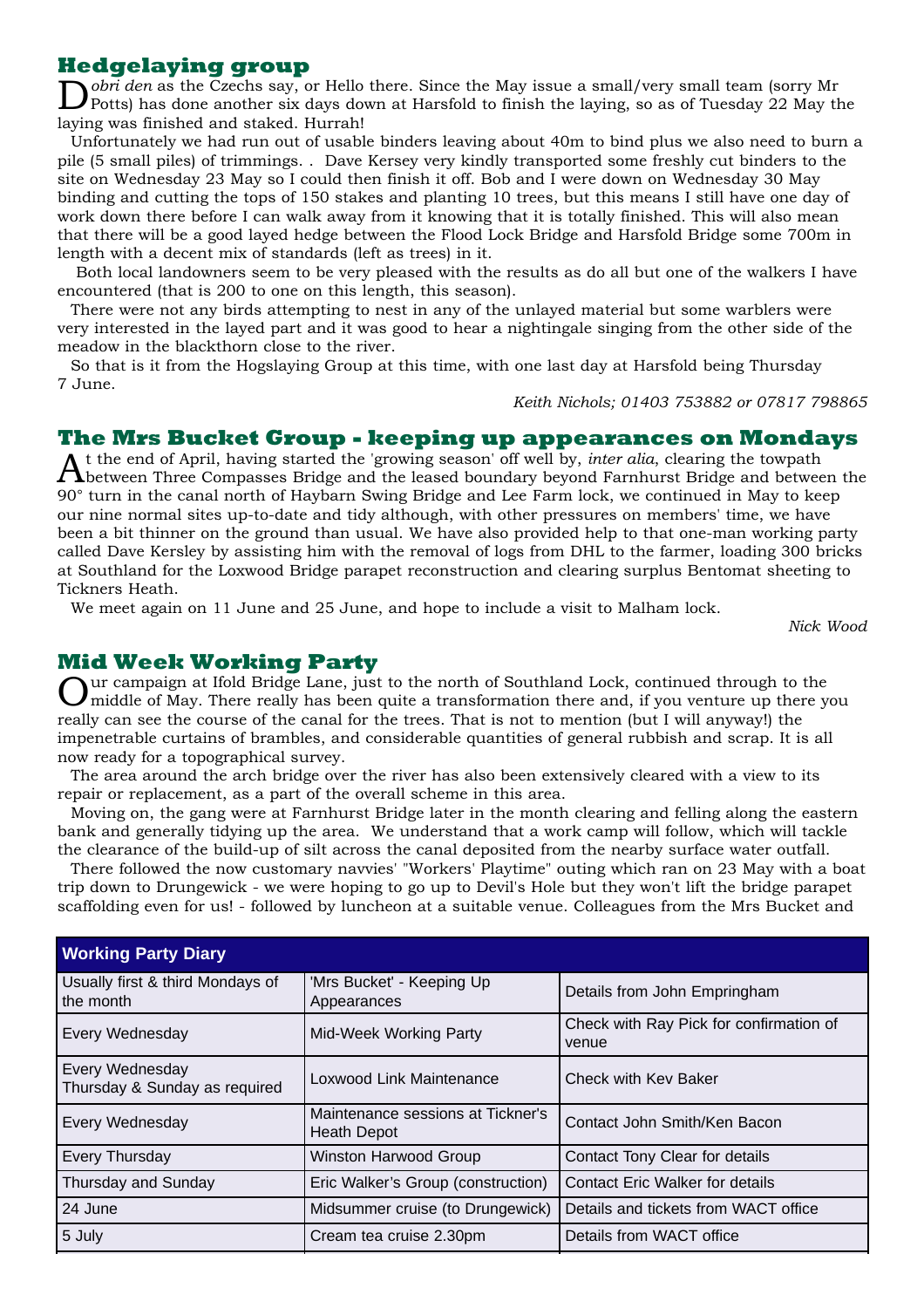## **Hedgelaying group**

D*obri den* as the Czechs say, or Hello there. Since the May issue a small/very small team (sorry Mr Potts) has done another six days down at Harsfold to finish the laying, so as of Tuesday 22 May the laying was finished and staked. Hurrah!

Unfortunately we had run out of usable binders leaving about 40m to bind plus we also need to burn a pile (5 small piles) of trimmings. . Dave Kersey very kindly transported some freshly cut binders to the site on Wednesday 23 May so I could then finish it off. Bob and I were down on Wednesday 30 May binding and cutting the tops of 150 stakes and planting 10 trees, but this means I still have one day of work down there before I can walk away from it knowing that it is totally finished. This will also mean that there will be a good layed hedge between the Flood Lock Bridge and Harsfold Bridge some 700m in length with a decent mix of standards (left as trees) in it.

Both local landowners seem to be very pleased with the results as do all but one of the walkers I have encountered (that is 200 to one on this length, this season).

There were not any birds attempting to nest in any of the unlayed material but some warblers were very interested in the layed part and it was good to hear a nightingale singing from the other side of the meadow in the blackthorn close to the river.

So that is it from the Hogslaying Group at this time, with one last day at Harsfold being Thursday 7 June.

*Keith Nichols; 01403 753882 or 07817 798865*

#### **The Mrs Bucket Group - keeping up appearances on Mondays**

At the end of April, having started the 'growing season' off well by, *inter alia*, clearing the towpath<br>Abetween Three Compasses Bridge and the leased boundary beyond Farnhurst Bridge and between the 90° turn in the canal north of Haybarn Swing Bridge and Lee Farm lock, we continued in May to keep our nine normal sites up-to-date and tidy although, with other pressures on members' time, we have been a bit thinner on the ground than usual. We have also provided help to that one-man working party called Dave Kersley by assisting him with the removal of logs from DHL to the farmer, loading 300 bricks at Southland for the Loxwood Bridge parapet reconstruction and clearing surplus Bentomat sheeting to Tickners Heath.

We meet again on 11 June and 25 June, and hope to include a visit to Malham lock.

*Nick Wood*

#### **Mid Week Working Party**

Lur campaign at Ifold Bridge Lane, just to the north of Southland Lock, continued through to the  $\bm{J}$  middle of May. There really has been quite a transformation there and, if you venture up there you really can see the course of the canal for the trees. That is not to mention (but I will anyway!) the impenetrable curtains of brambles, and considerable quantities of general rubbish and scrap. It is all now ready for a topographical survey.

The area around the arch bridge over the river has also been extensively cleared with a view to its repair or replacement, as a part of the overall scheme in this area.

Moving on, the gang were at Farnhurst Bridge later in the month clearing and felling along the eastern bank and generally tidying up the area. We understand that a work camp will follow, which will tackle the clearance of the build-up of silt across the canal deposited from the nearby surface water outfall.

There followed the now customary navvies' "Workers' Playtime" outing which ran on 23 May with a boat trip down to Drungewick - we were hoping to go up to Devil's Hole but they won't lift the bridge parapet scaffolding even for us! - followed by luncheon at a suitable venue. Colleagues from the Mrs Bucket and

| <b>Working Party Diary</b>                       |                                                         |                                                  |  |  |
|--------------------------------------------------|---------------------------------------------------------|--------------------------------------------------|--|--|
| Usually first & third Mondays of<br>the month    | 'Mrs Bucket' - Keeping Up<br>Appearances                | Details from John Empringham                     |  |  |
| Every Wednesday                                  | Mid-Week Working Party                                  | Check with Ray Pick for confirmation of<br>venue |  |  |
| Every Wednesday<br>Thursday & Sunday as required | Loxwood Link Maintenance                                | Check with Key Baker                             |  |  |
| Every Wednesday                                  | Maintenance sessions at Tickner's<br><b>Heath Depot</b> | Contact John Smith/Ken Bacon                     |  |  |
| <b>Every Thursday</b>                            | <b>Winston Harwood Group</b>                            | Contact Tony Clear for details                   |  |  |
| Thursday and Sunday                              | Eric Walker's Group (construction)                      | <b>Contact Eric Walker for details</b>           |  |  |
| 24 June                                          | Midsummer cruise (to Drungewick)                        | Details and tickets from WACT office             |  |  |
| 5 July                                           | Cream tea cruise 2.30pm                                 | Details from WACT office                         |  |  |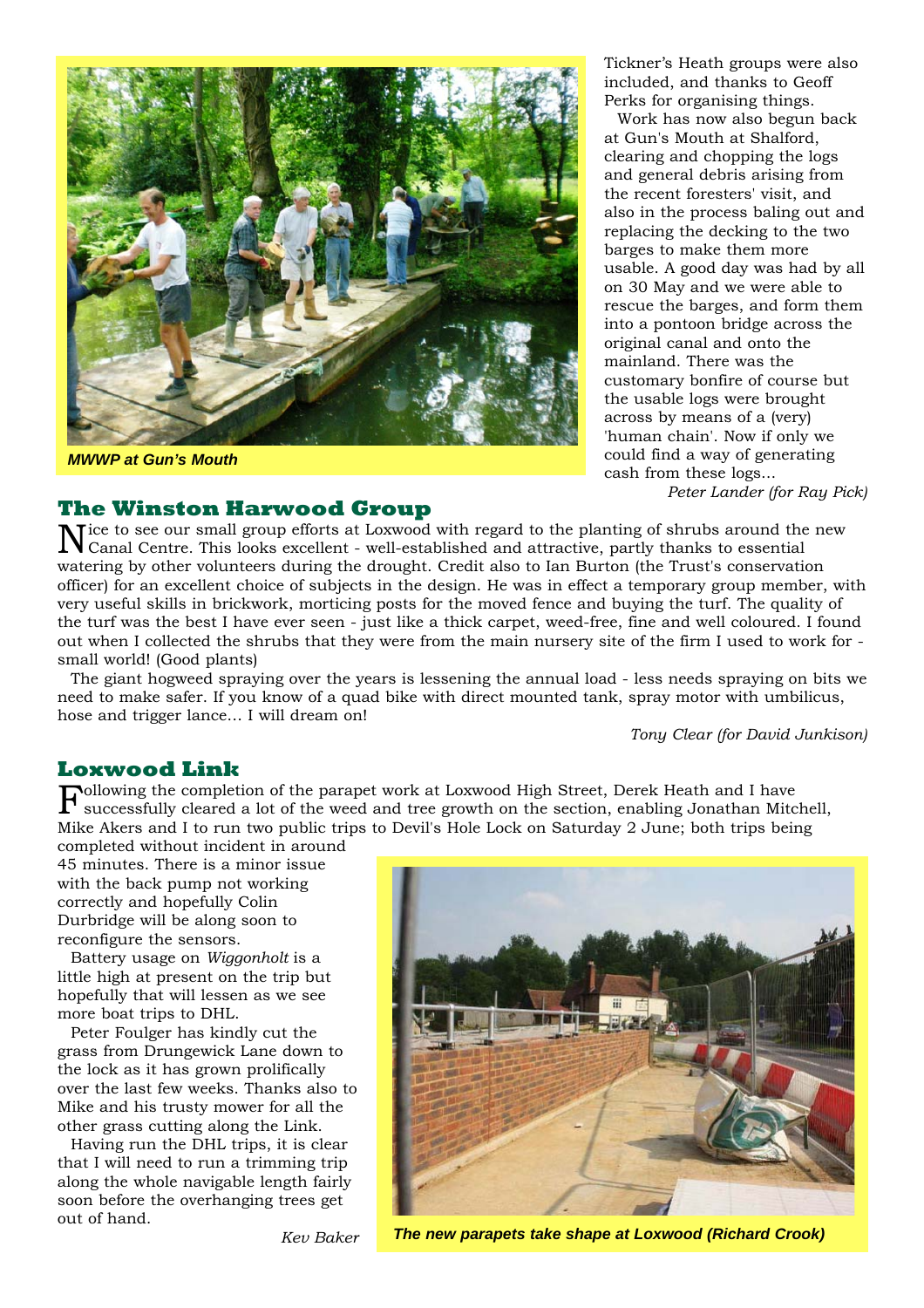

*MWWP at Gun's Mouth*

## **The Winston Harwood Group**

Tickner's Heath groups were also included, and thanks to Geoff Perks for organising things.

Work has now also begun back at Gun's Mouth at Shalford, clearing and chopping the logs and general debris arising from the recent foresters' visit, and also in the process baling out and replacing the decking to the two barges to make them more usable. A good day was had by all on 30 May and we were able to rescue the barges, and form them into a pontoon bridge across the original canal and onto the mainland. There was the customary bonfire of course but the usable logs were brought across by means of a (very) 'human chain'. Now if only we could find a way of generating cash from these logs...

*Peter Lander (for Ray Pick)*

Tice to see our small group efforts at Loxwood with regard to the planting of shrubs around the new Canal Centre. This looks excellent - well-established and attractive, partly thanks to essential watering by other volunteers during the drought. Credit also to Ian Burton (the Trust's conservation officer) for an excellent choice of subjects in the design. He was in effect a temporary group member, with very useful skills in brickwork, morticing posts for the moved fence and buying the turf. The quality of the turf was the best I have ever seen - just like a thick carpet, weed-free, fine and well coloured. I found out when I collected the shrubs that they were from the main nursery site of the firm I used to work for small world! (Good plants)

The giant hogweed spraying over the years is lessening the annual load - less needs spraying on bits we need to make safer. If you know of a quad bike with direct mounted tank, spray motor with umbilicus, hose and trigger lance… I will dream on!

*Tony Clear (for David Junkison)*

## **Loxwood Link**

 ${\bf F}$  successfully cleared a lot of the weed and tree growth on the section, enabling Jonathan Mitchensen and to the weed and tree growth on the section, enabling Jonathan Mitchensen successfully cleared a lot of the weed and tree growth on the section, enabling Jonathan Mitchell, Mike Akers and I to run two public trips to Devil's Hole Lock on Saturday 2 June; both trips being

completed without incident in around 45 minutes. There is a minor issue with the back pump not working correctly and hopefully Colin Durbridge will be along soon to reconfigure the sensors.

Battery usage on *Wiggonholt* is a little high at present on the trip but hopefully that will lessen as we see more boat trips to DHL.

Peter Foulger has kindly cut the grass from Drungewick Lane down to the lock as it has grown prolifically over the last few weeks. Thanks also to Mike and his trusty mower for all the other grass cutting along the Link.

Having run the DHL trips, it is clear that I will need to run a trimming trip along the whole navigable length fairly soon before the overhanging trees get out of hand.



*Kev Baker*

*The new parapets take shape at Loxwood (Richard Crook)*